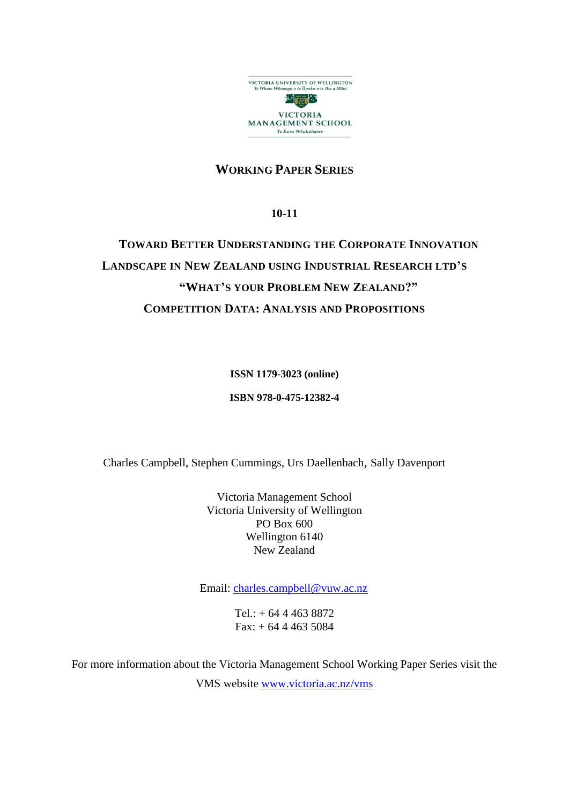

# **WORKING PAPER SERIES**

**10-11**

# **TOWARD BETTER UNDERSTANDING THE CORPORATE INNOVATION LANDSCAPE IN NEW ZEALAND USING INDUSTRIAL RESEARCH LTD'S "WHAT'S YOUR PROBLEM NEW ZEALAND?" COMPETITION DATA: ANALYSIS AND PROPOSITIONS**

**ISSN 1179-3023 (online)**

**ISBN 978-0-475-12382-4**

Charles Campbell, Stephen Cummings, Urs Daellenbach, Sally Davenport

Victoria Management School Victoria University of Wellington PO Box 600 Wellington 6140 New Zealand

Email: [charles.campbell@vuw.ac.nz](mailto:charles.campbell@vuw.ac.nz)

 $Tel.: + 64444638872$  $Fax: + 64444635084$ 

For more information about the Victoria Management School Working Paper Series visit the VMS website [www.victoria.ac.nz/vms](http://www.victoria.ac.nz/vms)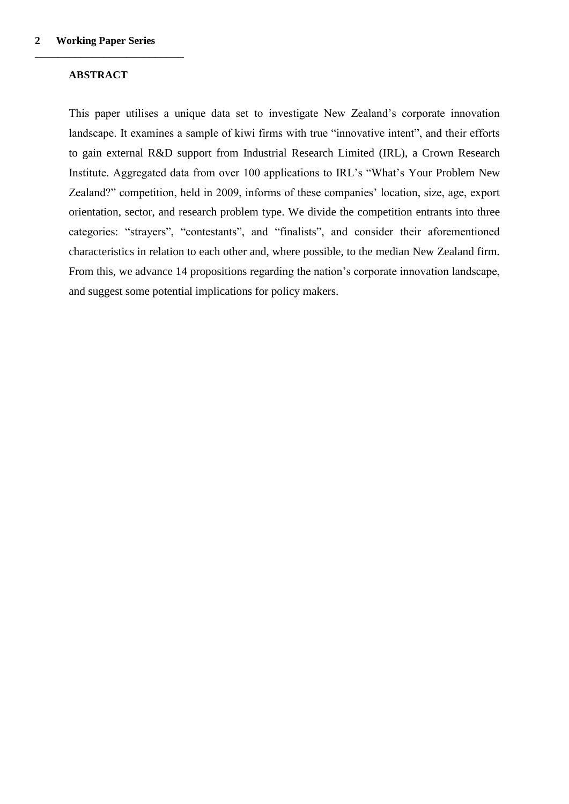#### **ABSTRACT**

\_\_\_\_\_\_\_\_\_\_\_\_\_\_\_\_\_\_\_\_\_\_\_\_\_\_

This paper utilises a unique data set to investigate New Zealand's corporate innovation landscape. It examines a sample of kiwi firms with true "innovative intent", and their efforts to gain external R&D support from Industrial Research Limited (IRL), a Crown Research Institute. Aggregated data from over 100 applications to IRL's "What's Your Problem New Zealand?" competition, held in 2009, informs of these companies' location, size, age, export orientation, sector, and research problem type. We divide the competition entrants into three categories: "strayers", "contestants", and "finalists", and consider their aforementioned characteristics in relation to each other and, where possible, to the median New Zealand firm. From this, we advance 14 propositions regarding the nation's corporate innovation landscape, and suggest some potential implications for policy makers.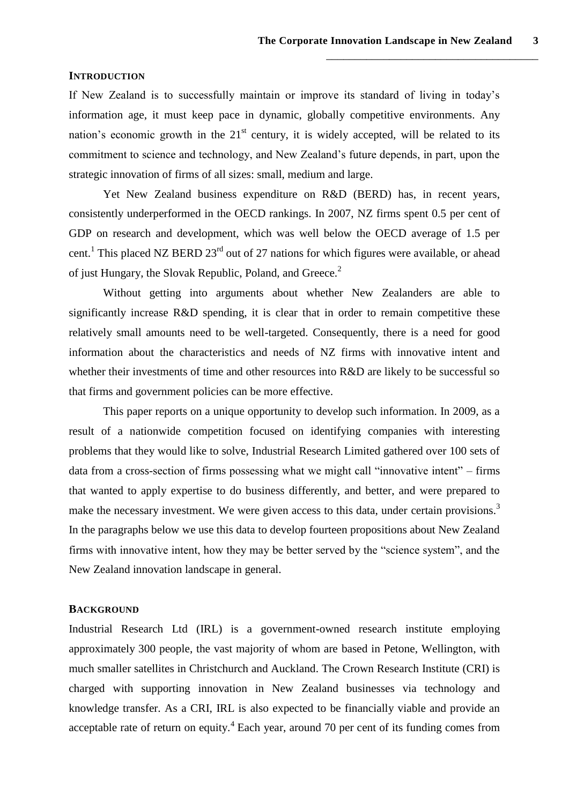#### **INTRODUCTION**

If New Zealand is to successfully maintain or improve its standard of living in today's information age, it must keep pace in dynamic, globally competitive environments. Any nation's economic growth in the  $21<sup>st</sup>$  century, it is widely accepted, will be related to its commitment to science and technology, and New Zealand's future depends, in part, upon the strategic innovation of firms of all sizes: small, medium and large.

Yet New Zealand business expenditure on R&D (BERD) has, in recent years, consistently underperformed in the OECD rankings. In 2007, NZ firms spent 0.5 per cent of GDP on research and development, which was well below the OECD average of 1.5 per cent.<sup>1</sup> This placed NZ BERD 23<sup>rd</sup> out of 27 nations for which figures were available, or ahead of just Hungary, the Slovak Republic, Poland, and Greece.<sup>2</sup>

Without getting into arguments about whether New Zealanders are able to significantly increase R&D spending, it is clear that in order to remain competitive these relatively small amounts need to be well-targeted. Consequently, there is a need for good information about the characteristics and needs of NZ firms with innovative intent and whether their investments of time and other resources into R&D are likely to be successful so that firms and government policies can be more effective.

This paper reports on a unique opportunity to develop such information. In 2009, as a result of a nationwide competition focused on identifying companies with interesting problems that they would like to solve, Industrial Research Limited gathered over 100 sets of data from a cross-section of firms possessing what we might call "innovative intent" – firms that wanted to apply expertise to do business differently, and better, and were prepared to make the necessary investment. We were given access to this data, under certain provisions.<sup>3</sup> In the paragraphs below we use this data to develop fourteen propositions about New Zealand firms with innovative intent, how they may be better served by the "science system", and the New Zealand innovation landscape in general.

#### **BACKGROUND**

Industrial Research Ltd (IRL) is a government-owned research institute employing approximately 300 people, the vast majority of whom are based in Petone, Wellington, with much smaller satellites in Christchurch and Auckland. The Crown Research Institute (CRI) is charged with supporting innovation in New Zealand businesses via technology and knowledge transfer. As a CRI, IRL is also expected to be financially viable and provide an acceptable rate of return on equity.<sup>4</sup> Each year, around 70 per cent of its funding comes from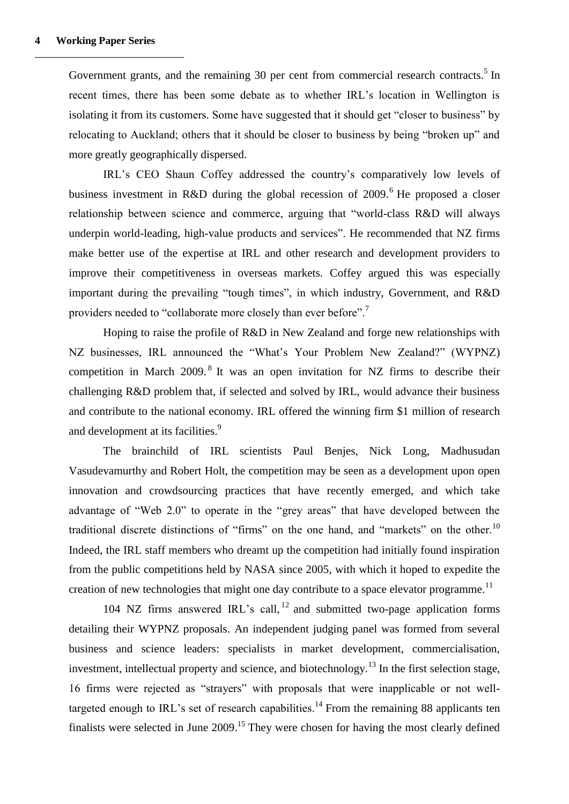Government grants, and the remaining  $30$  per cent from commercial research contracts.<sup>5</sup> In recent times, there has been some debate as to whether IRL's location in Wellington is isolating it from its customers. Some have suggested that it should get "closer to business" by relocating to Auckland; others that it should be closer to business by being "broken up" and more greatly geographically dispersed.

IRL's CEO Shaun Coffey addressed the country's comparatively low levels of business investment in R&D during the global recession of 2009. <sup>6</sup> He proposed a closer relationship between science and commerce, arguing that "world-class R&D will always underpin world-leading, high-value products and services". He recommended that NZ firms make better use of the expertise at IRL and other research and development providers to improve their competitiveness in overseas markets. Coffey argued this was especially important during the prevailing "tough times", in which industry, Government, and R&D providers needed to "collaborate more closely than ever before".<sup>7</sup>

Hoping to raise the profile of R&D in New Zealand and forge new relationships with NZ businesses, IRL announced the "What's Your Problem New Zealand?" (WYPNZ) competition in March  $2009$ .<sup>8</sup> It was an open invitation for NZ firms to describe their challenging R&D problem that, if selected and solved by IRL, would advance their business and contribute to the national economy. IRL offered the winning firm \$1 million of research and development at its facilities.<sup>9</sup>

The brainchild of IRL scientists Paul Benjes, Nick Long, Madhusudan Vasudevamurthy and Robert Holt, the competition may be seen as a development upon open innovation and crowdsourcing practices that have recently emerged, and which take advantage of "Web 2.0" to operate in the "grey areas" that have developed between the traditional discrete distinctions of "firms" on the one hand, and "markets" on the other.<sup>10</sup> Indeed, the IRL staff members who dreamt up the competition had initially found inspiration from the public competitions held by NASA since 2005, with which it hoped to expedite the creation of new technologies that might one day contribute to a space elevator programme.<sup>11</sup>

104 NZ firms answered IRL's call, <sup>12</sup> and submitted two-page application forms detailing their WYPNZ proposals. An independent judging panel was formed from several business and science leaders: specialists in market development, commercialisation, investment, intellectual property and science, and biotechnology.<sup>13</sup> In the first selection stage, 16 firms were rejected as "strayers" with proposals that were inapplicable or not welltargeted enough to IRL's set of research capabilities.<sup>14</sup> From the remaining 88 applicants ten finalists were selected in June  $2009$ .<sup>15</sup> They were chosen for having the most clearly defined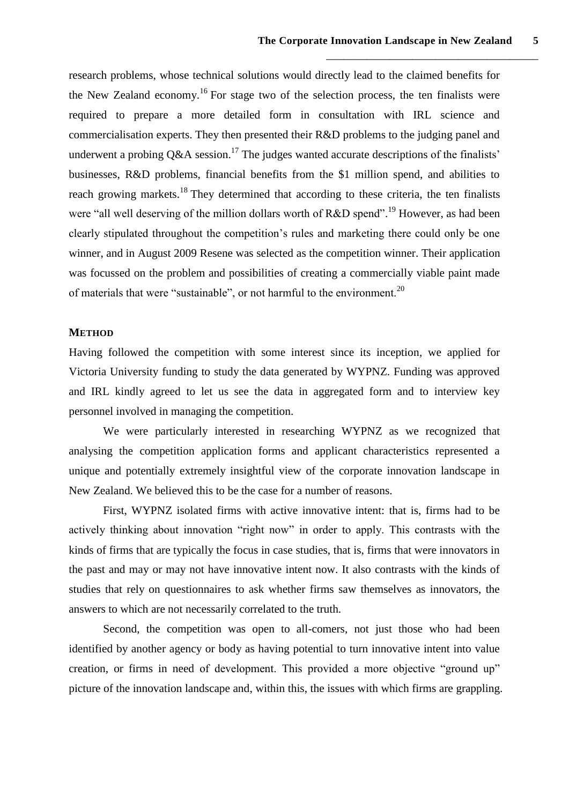research problems, whose technical solutions would directly lead to the claimed benefits for the New Zealand economy.<sup>16</sup> For stage two of the selection process, the ten finalists were required to prepare a more detailed form in consultation with IRL science and commercialisation experts. They then presented their R&D problems to the judging panel and underwent a probing  $O\&A$  session.<sup>17</sup> The judges wanted accurate descriptions of the finalists' businesses, R&D problems, financial benefits from the \$1 million spend, and abilities to reach growing markets.<sup>18</sup> They determined that according to these criteria, the ten finalists were "all well deserving of the million dollars worth of  $R&D$  spend".<sup>19</sup> However, as had been clearly stipulated throughout the competition's rules and marketing there could only be one winner, and in August 2009 Resene was selected as the competition winner. Their application was focussed on the problem and possibilities of creating a commercially viable paint made of materials that were "sustainable", or not harmful to the environment.<sup>20</sup>

#### **METHOD**

Having followed the competition with some interest since its inception, we applied for Victoria University funding to study the data generated by WYPNZ. Funding was approved and IRL kindly agreed to let us see the data in aggregated form and to interview key personnel involved in managing the competition.

We were particularly interested in researching WYPNZ as we recognized that analysing the competition application forms and applicant characteristics represented a unique and potentially extremely insightful view of the corporate innovation landscape in New Zealand. We believed this to be the case for a number of reasons.

First, WYPNZ isolated firms with active innovative intent: that is, firms had to be actively thinking about innovation "right now" in order to apply. This contrasts with the kinds of firms that are typically the focus in case studies, that is, firms that were innovators in the past and may or may not have innovative intent now. It also contrasts with the kinds of studies that rely on questionnaires to ask whether firms saw themselves as innovators, the answers to which are not necessarily correlated to the truth.

Second, the competition was open to all-comers, not just those who had been identified by another agency or body as having potential to turn innovative intent into value creation, or firms in need of development. This provided a more objective "ground up" picture of the innovation landscape and, within this, the issues with which firms are grappling.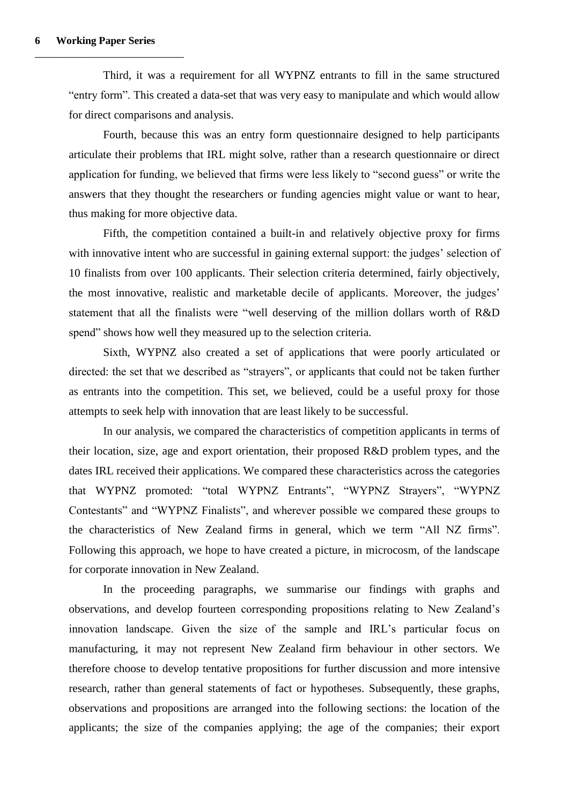Third, it was a requirement for all WYPNZ entrants to fill in the same structured "entry form". This created a data-set that was very easy to manipulate and which would allow for direct comparisons and analysis.

Fourth, because this was an entry form questionnaire designed to help participants articulate their problems that IRL might solve, rather than a research questionnaire or direct application for funding, we believed that firms were less likely to "second guess" or write the answers that they thought the researchers or funding agencies might value or want to hear, thus making for more objective data.

Fifth, the competition contained a built-in and relatively objective proxy for firms with innovative intent who are successful in gaining external support: the judges' selection of 10 finalists from over 100 applicants. Their selection criteria determined, fairly objectively, the most innovative, realistic and marketable decile of applicants. Moreover, the judges' statement that all the finalists were "well deserving of the million dollars worth of R&D spend" shows how well they measured up to the selection criteria.

Sixth, WYPNZ also created a set of applications that were poorly articulated or directed: the set that we described as "strayers", or applicants that could not be taken further as entrants into the competition. This set, we believed, could be a useful proxy for those attempts to seek help with innovation that are least likely to be successful.

In our analysis, we compared the characteristics of competition applicants in terms of their location, size, age and export orientation, their proposed R&D problem types, and the dates IRL received their applications. We compared these characteristics across the categories that WYPNZ promoted: "total WYPNZ Entrants", "WYPNZ Strayers", "WYPNZ Contestants" and "WYPNZ Finalists", and wherever possible we compared these groups to the characteristics of New Zealand firms in general, which we term "All NZ firms". Following this approach, we hope to have created a picture, in microcosm, of the landscape for corporate innovation in New Zealand.

In the proceeding paragraphs, we summarise our findings with graphs and observations, and develop fourteen corresponding propositions relating to New Zealand's innovation landscape. Given the size of the sample and IRL's particular focus on manufacturing, it may not represent New Zealand firm behaviour in other sectors. We therefore choose to develop tentative propositions for further discussion and more intensive research, rather than general statements of fact or hypotheses. Subsequently, these graphs, observations and propositions are arranged into the following sections: the location of the applicants; the size of the companies applying; the age of the companies; their export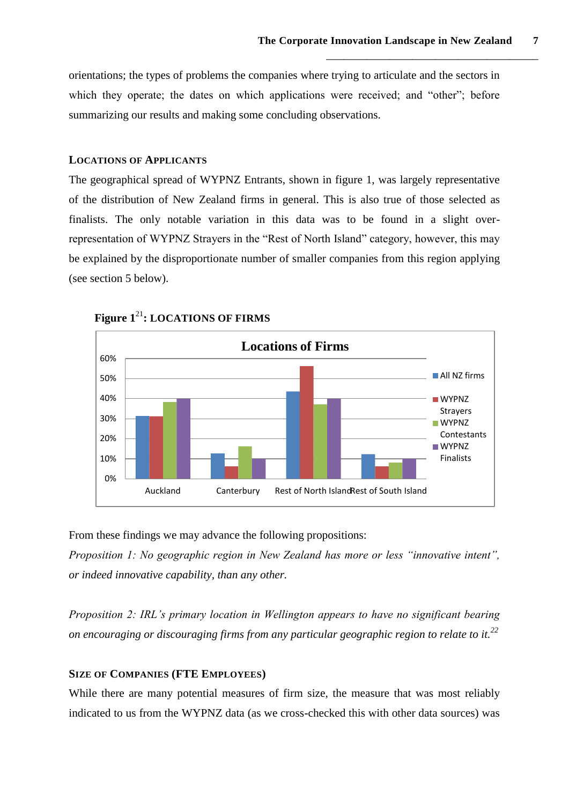orientations; the types of problems the companies where trying to articulate and the sectors in which they operate; the dates on which applications were received; and "other"; before summarizing our results and making some concluding observations.

#### **LOCATIONS OF APPLICANTS**

The geographical spread of WYPNZ Entrants, shown in figure 1, was largely representative of the distribution of New Zealand firms in general. This is also true of those selected as finalists. The only notable variation in this data was to be found in a slight overrepresentation of WYPNZ Strayers in the "Rest of North Island" category, however, this may be explained by the disproportionate number of smaller companies from this region applying (see section 5 below).



**Figure 1**<sup>21</sup>**: LOCATIONS OF FIRMS**

From these findings we may advance the following propositions:

*Proposition 1: No geographic region in New Zealand has more or less "innovative intent", or indeed innovative capability, than any other.*

*Proposition 2: IRL's primary location in Wellington appears to have no significant bearing on encouraging or discouraging firms from any particular geographic region to relate to it.<sup>22</sup>*

# **SIZE OF COMPANIES (FTE EMPLOYEES)**

While there are many potential measures of firm size, the measure that was most reliably indicated to us from the WYPNZ data (as we cross-checked this with other data sources) was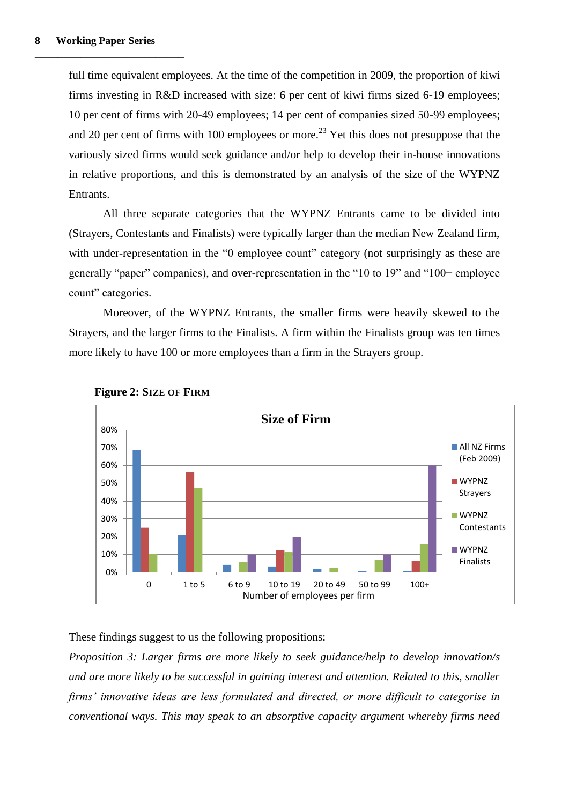full time equivalent employees. At the time of the competition in 2009, the proportion of kiwi firms investing in R&D increased with size: 6 per cent of kiwi firms sized 6-19 employees; 10 per cent of firms with 20-49 employees; 14 per cent of companies sized 50-99 employees; and 20 per cent of firms with 100 employees or more.<sup>23</sup> Yet this does not presuppose that the variously sized firms would seek guidance and/or help to develop their in-house innovations in relative proportions, and this is demonstrated by an analysis of the size of the WYPNZ Entrants.

All three separate categories that the WYPNZ Entrants came to be divided into (Strayers, Contestants and Finalists) were typically larger than the median New Zealand firm, with under-representation in the "0 employee count" category (not surprisingly as these are generally "paper" companies), and over-representation in the "10 to 19" and "100+ employee count" categories.

Moreover, of the WYPNZ Entrants, the smaller firms were heavily skewed to the Strayers, and the larger firms to the Finalists. A firm within the Finalists group was ten times more likely to have 100 or more employees than a firm in the Strayers group.



#### **Figure 2: SIZE OF FIRM**

These findings suggest to us the following propositions:

*Proposition 3: Larger firms are more likely to seek guidance/help to develop innovation/s and are more likely to be successful in gaining interest and attention. Related to this, smaller firms' innovative ideas are less formulated and directed, or more difficult to categorise in conventional ways. This may speak to an absorptive capacity argument whereby firms need*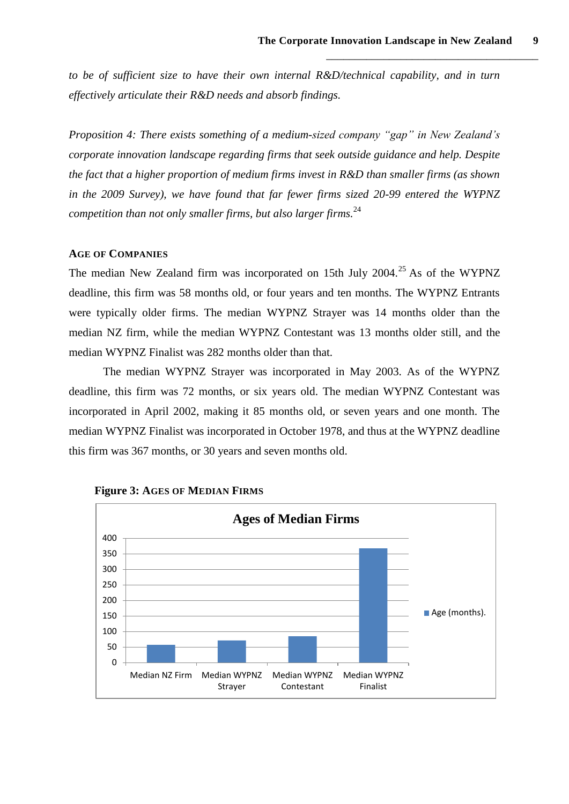*to be of sufficient size to have their own internal R&D/technical capability, and in turn effectively articulate their R&D needs and absorb findings.*

*Proposition 4: There exists something of a medium-sized company "gap" in New Zealand's corporate innovation landscape regarding firms that seek outside guidance and help. Despite the fact that a higher proportion of medium firms invest in R&D than smaller firms (as shown in the 2009 Survey), we have found that far fewer firms sized 20-99 entered the WYPNZ competition than not only smaller firms, but also larger firms.*<sup>24</sup>

### **AGE OF COMPANIES**

The median New Zealand firm was incorporated on 15th July 2004.<sup>25</sup> As of the WYPNZ deadline, this firm was 58 months old, or four years and ten months. The WYPNZ Entrants were typically older firms. The median WYPNZ Strayer was 14 months older than the median NZ firm, while the median WYPNZ Contestant was 13 months older still, and the median WYPNZ Finalist was 282 months older than that.

The median WYPNZ Strayer was incorporated in May 2003. As of the WYPNZ deadline, this firm was 72 months, or six years old. The median WYPNZ Contestant was incorporated in April 2002, making it 85 months old, or seven years and one month. The median WYPNZ Finalist was incorporated in October 1978, and thus at the WYPNZ deadline this firm was 367 months, or 30 years and seven months old.



**Figure 3: AGES OF MEDIAN FIRMS**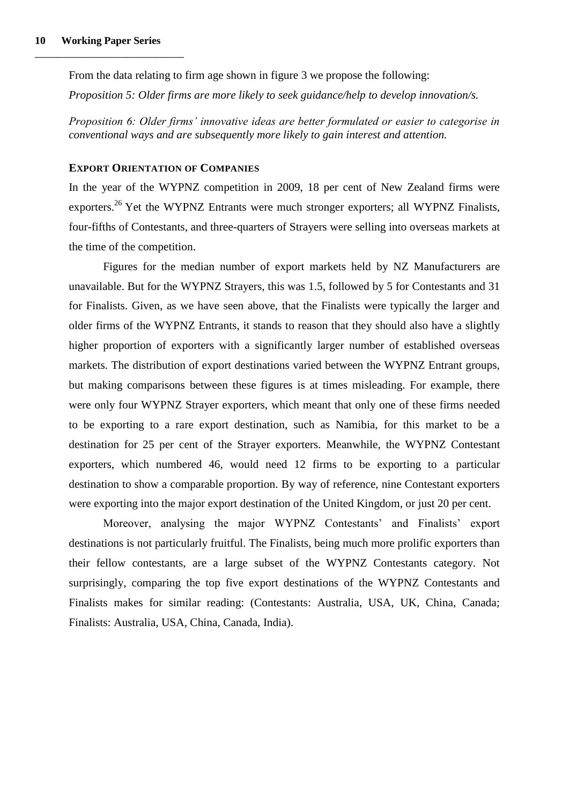From the data relating to firm age shown in figure 3 we propose the following:

*Proposition 5: Older firms are more likely to seek guidance/help to develop innovation/s.*

*Proposition 6: Older firms' innovative ideas are better formulated or easier to categorise in conventional ways and are subsequently more likely to gain interest and attention.*

#### **EXPORT ORIENTATION OF COMPANIES**

In the year of the WYPNZ competition in 2009, 18 per cent of New Zealand firms were exporters.<sup>26</sup> Yet the WYPNZ Entrants were much stronger exporters; all WYPNZ Finalists, four-fifths of Contestants, and three-quarters of Strayers were selling into overseas markets at the time of the competition.

Figures for the median number of export markets held by NZ Manufacturers are unavailable. But for the WYPNZ Strayers, this was 1.5, followed by 5 for Contestants and 31 for Finalists. Given, as we have seen above, that the Finalists were typically the larger and older firms of the WYPNZ Entrants, it stands to reason that they should also have a slightly higher proportion of exporters with a significantly larger number of established overseas markets. The distribution of export destinations varied between the WYPNZ Entrant groups, but making comparisons between these figures is at times misleading. For example, there were only four WYPNZ Strayer exporters, which meant that only one of these firms needed to be exporting to a rare export destination, such as Namibia, for this market to be a destination for 25 per cent of the Strayer exporters. Meanwhile, the WYPNZ Contestant exporters, which numbered 46, would need 12 firms to be exporting to a particular destination to show a comparable proportion. By way of reference, nine Contestant exporters were exporting into the major export destination of the United Kingdom, or just 20 per cent.

Moreover, analysing the major WYPNZ Contestants' and Finalists' export destinations is not particularly fruitful. The Finalists, being much more prolific exporters than their fellow contestants, are a large subset of the WYPNZ Contestants category. Not surprisingly, comparing the top five export destinations of the WYPNZ Contestants and Finalists makes for similar reading: (Contestants: Australia, USA, UK, China, Canada; Finalists: Australia, USA, China, Canada, India).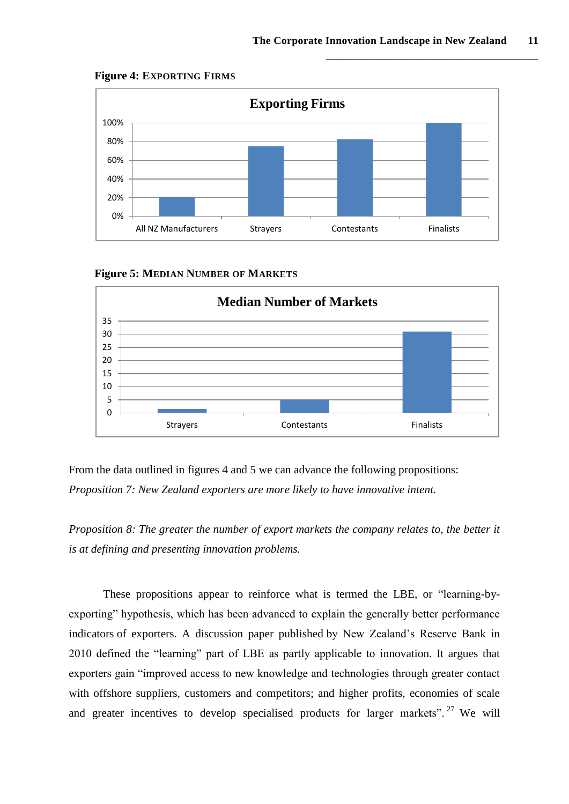

**Figure 4: EXPORTING FIRMS**



**Figure 5: MEDIAN NUMBER OF MARKETS**

From the data outlined in figures 4 and 5 we can advance the following propositions: *Proposition 7: New Zealand exporters are more likely to have innovative intent.*

*Proposition 8: The greater the number of export markets the company relates to, the better it is at defining and presenting innovation problems.*

These propositions appear to reinforce what is termed the LBE, or "learning-byexporting" hypothesis, which has been advanced to explain the generally better performance indicators of exporters. A discussion paper published by New Zealand's Reserve Bank in 2010 defined the "learning" part of LBE as partly applicable to innovation. It argues that exporters gain "improved access to new knowledge and technologies through greater contact with offshore suppliers, customers and competitors; and higher profits, economies of scale and greater incentives to develop specialised products for larger markets".<sup>27</sup> We will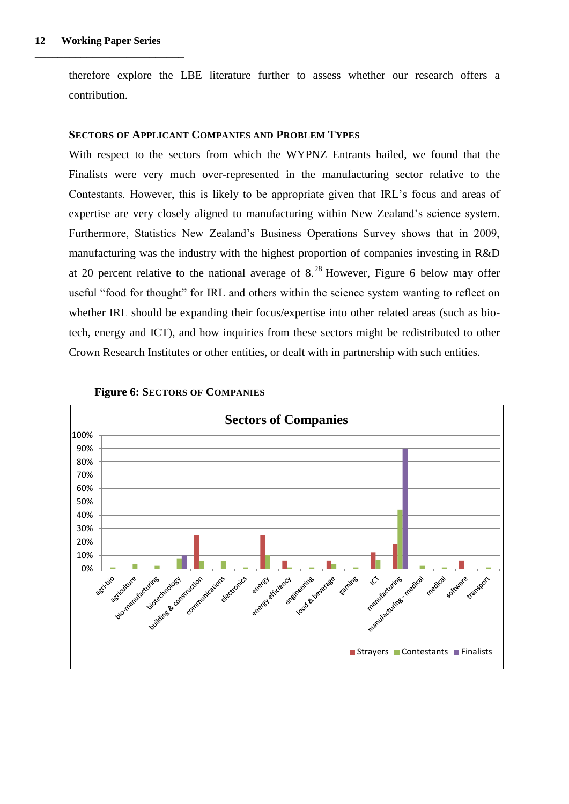therefore explore the LBE literature further to assess whether our research offers a contribution.

#### **SECTORS OF APPLICANT COMPANIES AND PROBLEM TYPES**

With respect to the sectors from which the WYPNZ Entrants hailed, we found that the Finalists were very much over-represented in the manufacturing sector relative to the Contestants. However, this is likely to be appropriate given that IRL's focus and areas of expertise are very closely aligned to manufacturing within New Zealand's science system. Furthermore, Statistics New Zealand's Business Operations Survey shows that in 2009, manufacturing was the industry with the highest proportion of companies investing in R&D at 20 percent relative to the national average of  $8.^{28}$  However, Figure 6 below may offer useful "food for thought" for IRL and others within the science system wanting to reflect on whether IRL should be expanding their focus/expertise into other related areas (such as biotech, energy and ICT), and how inquiries from these sectors might be redistributed to other Crown Research Institutes or other entities, or dealt with in partnership with such entities.



#### **Figure 6: SECTORS OF COMPANIES**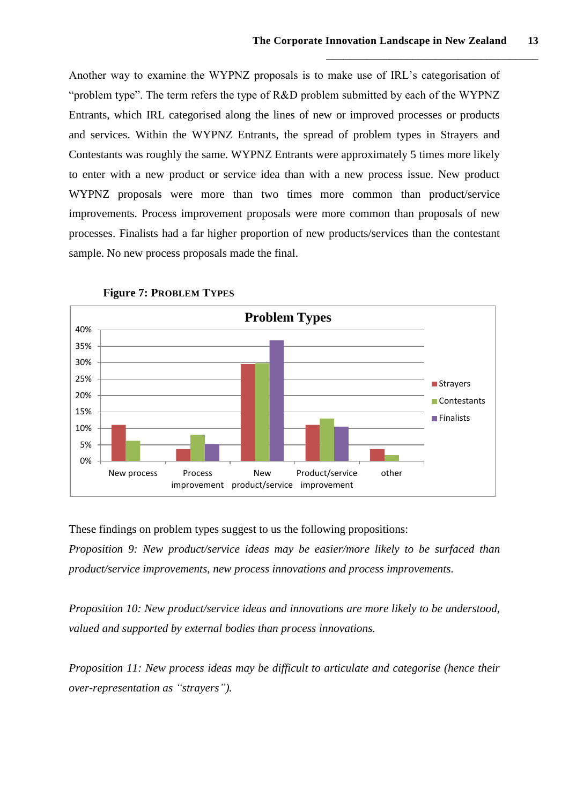Another way to examine the WYPNZ proposals is to make use of IRL's categorisation of "problem type". The term refers the type of R&D problem submitted by each of the WYPNZ Entrants, which IRL categorised along the lines of new or improved processes or products and services. Within the WYPNZ Entrants, the spread of problem types in Strayers and Contestants was roughly the same. WYPNZ Entrants were approximately 5 times more likely to enter with a new product or service idea than with a new process issue. New product WYPNZ proposals were more than two times more common than product/service improvements. Process improvement proposals were more common than proposals of new processes. Finalists had a far higher proportion of new products/services than the contestant sample. No new process proposals made the final.



**Figure 7: PROBLEM TYPES**

These findings on problem types suggest to us the following propositions:

*Proposition 9: New product/service ideas may be easier/more likely to be surfaced than product/service improvements, new process innovations and process improvements.*

*Proposition 10: New product/service ideas and innovations are more likely to be understood, valued and supported by external bodies than process innovations.*

*Proposition 11: New process ideas may be difficult to articulate and categorise (hence their over-representation as "strayers").*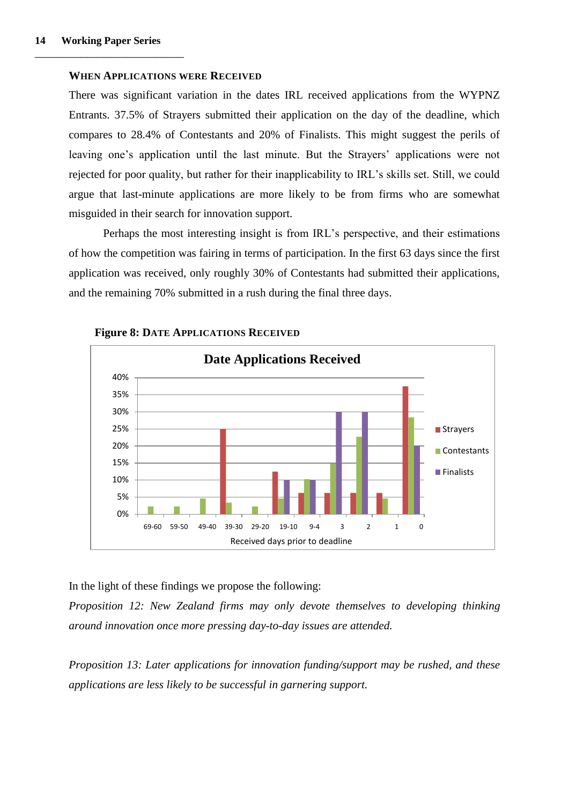#### **WHEN APPLICATIONS WERE RECEIVED**

There was significant variation in the dates IRL received applications from the WYPNZ Entrants. 37.5% of Strayers submitted their application on the day of the deadline, which compares to 28.4% of Contestants and 20% of Finalists. This might suggest the perils of leaving one's application until the last minute. But the Strayers' applications were not rejected for poor quality, but rather for their inapplicability to IRL's skills set. Still, we could argue that last-minute applications are more likely to be from firms who are somewhat misguided in their search for innovation support.

Perhaps the most interesting insight is from IRL's perspective, and their estimations of how the competition was fairing in terms of participation. In the first 63 days since the first application was received, only roughly 30% of Contestants had submitted their applications, and the remaining 70% submitted in a rush during the final three days.



**Figure 8: DATE APPLICATIONS RECEIVED** 

In the light of these findings we propose the following:

*Proposition 12: New Zealand firms may only devote themselves to developing thinking around innovation once more pressing day-to-day issues are attended.*

*Proposition 13: Later applications for innovation funding/support may be rushed, and these applications are less likely to be successful in garnering support.*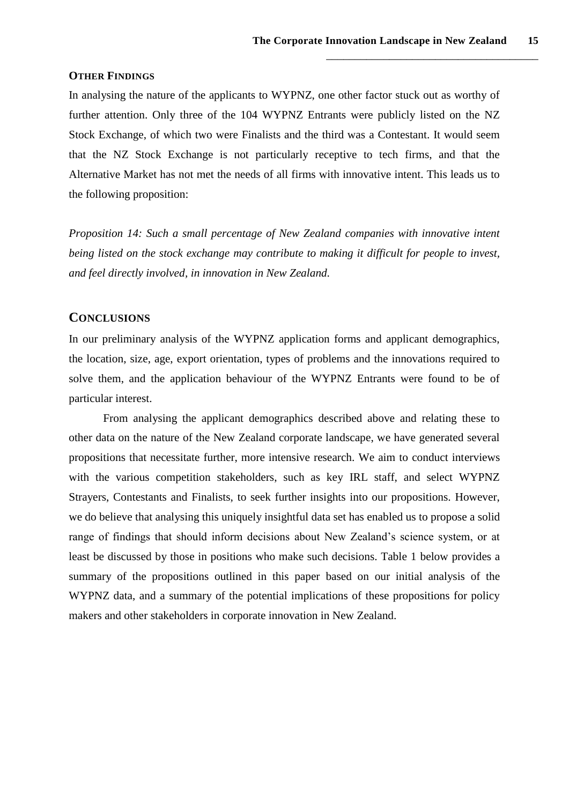#### **OTHER FINDINGS**

In analysing the nature of the applicants to WYPNZ, one other factor stuck out as worthy of further attention. Only three of the 104 WYPNZ Entrants were publicly listed on the NZ Stock Exchange, of which two were Finalists and the third was a Contestant. It would seem that the NZ Stock Exchange is not particularly receptive to tech firms, and that the Alternative Market has not met the needs of all firms with innovative intent. This leads us to the following proposition:

*Proposition 14: Such a small percentage of New Zealand companies with innovative intent being listed on the stock exchange may contribute to making it difficult for people to invest, and feel directly involved, in innovation in New Zealand.*

## **CONCLUSIONS**

In our preliminary analysis of the WYPNZ application forms and applicant demographics, the location, size, age, export orientation, types of problems and the innovations required to solve them, and the application behaviour of the WYPNZ Entrants were found to be of particular interest.

From analysing the applicant demographics described above and relating these to other data on the nature of the New Zealand corporate landscape, we have generated several propositions that necessitate further, more intensive research. We aim to conduct interviews with the various competition stakeholders, such as key IRL staff, and select WYPNZ Strayers, Contestants and Finalists, to seek further insights into our propositions. However, we do believe that analysing this uniquely insightful data set has enabled us to propose a solid range of findings that should inform decisions about New Zealand's science system, or at least be discussed by those in positions who make such decisions. Table 1 below provides a summary of the propositions outlined in this paper based on our initial analysis of the WYPNZ data, and a summary of the potential implications of these propositions for policy makers and other stakeholders in corporate innovation in New Zealand.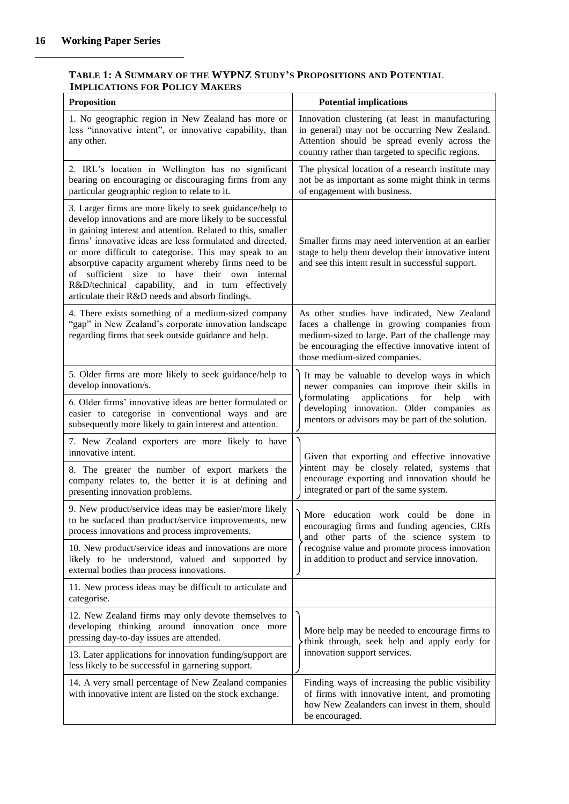### **TABLE 1: A SUMMARY OF THE WYPNZ STUDY'S PROPOSITIONS AND POTENTIAL IMPLICATIONS FOR POLICY MAKERS**

| <b>Proposition</b>                                                                                                                                                                                                                                                                                                                                                                                                                                                                                                                | <b>Potential implications</b>                                                                                                                                                                                                                     |
|-----------------------------------------------------------------------------------------------------------------------------------------------------------------------------------------------------------------------------------------------------------------------------------------------------------------------------------------------------------------------------------------------------------------------------------------------------------------------------------------------------------------------------------|---------------------------------------------------------------------------------------------------------------------------------------------------------------------------------------------------------------------------------------------------|
| 1. No geographic region in New Zealand has more or<br>less "innovative intent", or innovative capability, than<br>any other.                                                                                                                                                                                                                                                                                                                                                                                                      | Innovation clustering (at least in manufacturing<br>in general) may not be occurring New Zealand.<br>Attention should be spread evenly across the<br>country rather than targeted to specific regions.                                            |
| 2. IRL's location in Wellington has no significant<br>bearing on encouraging or discouraging firms from any<br>particular geographic region to relate to it.                                                                                                                                                                                                                                                                                                                                                                      | The physical location of a research institute may<br>not be as important as some might think in terms<br>of engagement with business.                                                                                                             |
| 3. Larger firms are more likely to seek guidance/help to<br>develop innovations and are more likely to be successful<br>in gaining interest and attention. Related to this, smaller<br>firms' innovative ideas are less formulated and directed,<br>or more difficult to categorise. This may speak to an<br>absorptive capacity argument whereby firms need to be<br>size to have<br>their own internal<br>of sufficient<br>R&D/technical capability, and in turn effectively<br>articulate their R&D needs and absorb findings. | Smaller firms may need intervention at an earlier<br>stage to help them develop their innovative intent<br>and see this intent result in successful support.                                                                                      |
| 4. There exists something of a medium-sized company<br>"gap" in New Zealand's corporate innovation landscape<br>regarding firms that seek outside guidance and help.                                                                                                                                                                                                                                                                                                                                                              | As other studies have indicated, New Zealand<br>faces a challenge in growing companies from<br>medium-sized to large. Part of the challenge may<br>be encouraging the effective innovative intent of<br>those medium-sized companies.             |
| 5. Older firms are more likely to seek guidance/help to<br>develop innovation/s.                                                                                                                                                                                                                                                                                                                                                                                                                                                  | It may be valuable to develop ways in which<br>newer companies can improve their skills in<br>applications<br>formulating<br>for<br>help<br>with<br>developing innovation. Older companies as<br>mentors or advisors may be part of the solution. |
| 6. Older firms' innovative ideas are better formulated or<br>easier to categorise in conventional ways and are<br>subsequently more likely to gain interest and attention.                                                                                                                                                                                                                                                                                                                                                        |                                                                                                                                                                                                                                                   |
| 7. New Zealand exporters are more likely to have<br>innovative intent.                                                                                                                                                                                                                                                                                                                                                                                                                                                            | Given that exporting and effective innovative<br>intent may be closely related, systems that<br>encourage exporting and innovation should be<br>integrated or part of the same system.                                                            |
| 8. The greater the number of export markets the<br>company relates to, the better it is at defining and<br>presenting innovation problems.                                                                                                                                                                                                                                                                                                                                                                                        |                                                                                                                                                                                                                                                   |
| 9. New product/service ideas may be easier/more likely<br>to be surfaced than product/service improvements, new<br>process innovations and process improvements.                                                                                                                                                                                                                                                                                                                                                                  | education work could be done<br>More<br>in<br>encouraging firms and funding agencies, CRIs<br>and other parts of the science system to<br>recognise value and promote process innovation<br>in addition to product and service innovation.        |
| 10. New product/service ideas and innovations are more<br>likely to be understood, valued and supported by<br>external bodies than process innovations.                                                                                                                                                                                                                                                                                                                                                                           |                                                                                                                                                                                                                                                   |
| 11. New process ideas may be difficult to articulate and<br>categorise.                                                                                                                                                                                                                                                                                                                                                                                                                                                           |                                                                                                                                                                                                                                                   |
| 12. New Zealand firms may only devote themselves to<br>developing thinking around innovation once more<br>pressing day-to-day issues are attended.                                                                                                                                                                                                                                                                                                                                                                                | More help may be needed to encourage firms to<br>think through, seek help and apply early for<br>innovation support services.                                                                                                                     |
| 13. Later applications for innovation funding/support are<br>less likely to be successful in garnering support.                                                                                                                                                                                                                                                                                                                                                                                                                   |                                                                                                                                                                                                                                                   |
| 14. A very small percentage of New Zealand companies<br>with innovative intent are listed on the stock exchange.                                                                                                                                                                                                                                                                                                                                                                                                                  | Finding ways of increasing the public visibility<br>of firms with innovative intent, and promoting<br>how New Zealanders can invest in them, should<br>be encouraged.                                                                             |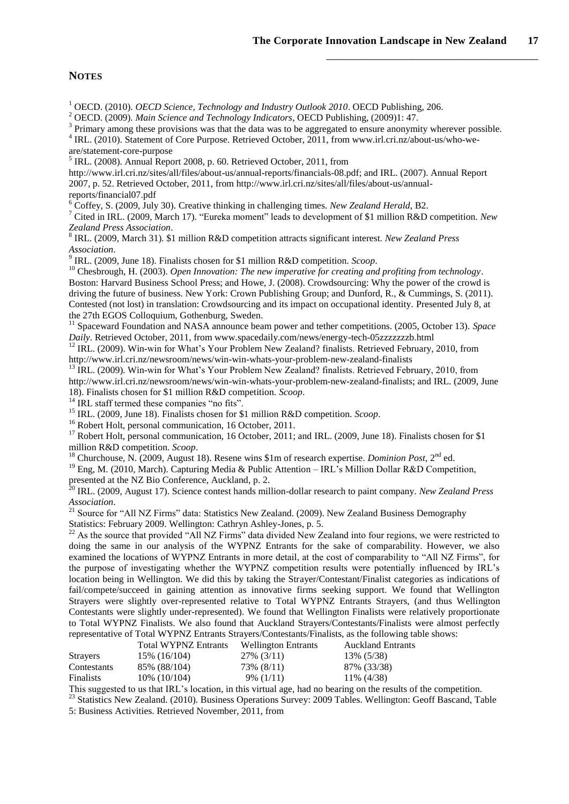#### **NOTES**

<sup>1</sup> OECD. (2010). *OECD Science, Technology and Industry Outlook 2010*. OECD Publishing, 206.

<sup>2</sup> OECD. (2009). *Main Science and Technology Indicators*, OECD Publishing, (2009)1: 47.

<sup>3</sup> Primary among these provisions was that the data was to be aggregated to ensure anonymity wherever possible.

<sup>4</sup> IRL. (2010). Statement of Core Purpose. Retrieved October, 2011, from www.irl.cri.nz/about-us/who-weare/statement-core-purpose

5 IRL. (2008). Annual Report 2008, p. 60. Retrieved October, 2011, from

http://www.irl.cri.nz/sites/all/files/about-us/annual-reports/financials-08.pdf; and IRL. (2007). Annual Report 2007, p. 52. Retrieved October, 2011, from http://www.irl.cri.nz/sites/all/files/about-us/annualreports/financial07.pdf

<sup>6</sup> Coffey, S. (2009, July 30). Creative thinking in challenging times. *New Zealand Herald*, B2.

<sup>7</sup> Cited in IRL. (2009, March 17). "Eureka moment" leads to development of \$1 million R&D competition. *New Zealand Press Association*.

8 IRL. (2009, March 31). \$1 million R&D competition attracts significant interest. *New Zealand Press Association*.

9 IRL. (2009, June 18). Finalists chosen for \$1 million R&D competition. *Scoop*.

<sup>10</sup> Chesbrough, H. (2003). *Open Innovation: The new imperative for creating and profiting from technology*. Boston: Harvard Business School Press; and Howe, J. (2008). Crowdsourcing: Why the power of the crowd is driving the future of business. New York: Crown Publishing Group; and Dunford, R., & Cummings, S. (2011). Contested (not lost) in translation: Crowdsourcing and its impact on occupational identity. Presented July 8, at the 27th EGOS Colloquium, Gothenburg, Sweden.

<sup>11</sup> Spaceward Foundation and NASA announce beam power and tether competitions. (2005, October 13). *Space Daily*. Retrieved October, 2011, from www.spacedaily.com/news/energy-tech-05zzzzzzzb.html

<sup>12</sup> IRL. (2009). Win-win for What's Your Problem New Zealand? finalists. Retrieved February, 2010, from http://www.irl.cri.nz/newsroom/news/win-win-whats-your-problem-new-zealand-finalists

<sup>13</sup> IRL. (2009). Win-win for What's Your Problem New Zealand? finalists. Retrieved February, 2010, from http://www.irl.cri.nz/newsroom/news/win-win-whats-your-problem-new-zealand-finalists; and IRL. (2009, June 18). Finalists chosen for \$1 million R&D competition. *Scoop*.

<sup>14</sup> IRL staff termed these companies "no fits".

<sup>15</sup> IRL. (2009, June 18). Finalists chosen for \$1 million R&D competition. *Scoop*.

<sup>16</sup> Robert Holt, personal communication, 16 October, 2011.

<sup>17</sup> Robert Holt, personal communication, 16 October, 2011; and IRL. (2009, June 18). Finalists chosen for \$1 million R&D competition. *Scoop*.

<sup>18</sup> Churchouse, N. (2009, August 18). Resene wins \$1m of research expertise. *Dominion Post*, 2<sup>nd</sup> ed.

<sup>19</sup> Eng, M. (2010, March). Capturing Media & Public Attention – IRL's Million Dollar R&D Competition, presented at the NZ Bio Conference, Auckland, p. 2.

<sup>20</sup> IRL. (2009, August 17). Science contest hands million-dollar research to paint company. *New Zealand Press Association*.

<sup>21</sup> Source for "All NZ Firms" data: Statistics New Zealand. (2009). New Zealand Business Demography Statistics: February 2009. Wellington: Cathryn Ashley-Jones, p. 5.

<sup>22</sup> As the source that provided "All NZ Firms" data divided New Zealand into four regions, we were restricted to doing the same in our analysis of the WYPNZ Entrants for the sake of comparability. However, we also examined the locations of WYPNZ Entrants in more detail, at the cost of comparability to "All NZ Firms", for the purpose of investigating whether the WYPNZ competition results were potentially influenced by IRL's location being in Wellington. We did this by taking the Strayer/Contestant/Finalist categories as indications of fail/compete/succeed in gaining attention as innovative firms seeking support. We found that Wellington Strayers were slightly over-represented relative to Total WYPNZ Entrants Strayers, (and thus Wellington Contestants were slightly under-represented). We found that Wellington Finalists were relatively proportionate to Total WYPNZ Finalists. We also found that Auckland Strayers/Contestants/Finalists were almost perfectly representative of Total WYPNZ Entrants Strayers/Contestants/Finalists, as the following table shows:

Total WYPNZ Entrants Wellington Entrants Auckland Entrants Strayers 15% (16/104) 27% (3/11) 13% (5/38) Contestants 85% (88/104) 73% (8/11) 87% (33/38)

Finalists 10% (10/104) 9% (1/11) 11% (4/38)

This suggested to us that IRL's location, in this virtual age, had no bearing on the results of the competition.

<sup>23</sup> Statistics New Zealand. (2010). Business Operations Survey: 2009 Tables. Wellington: Geoff Bascand, Table 5: Business Activities. Retrieved November, 2011, from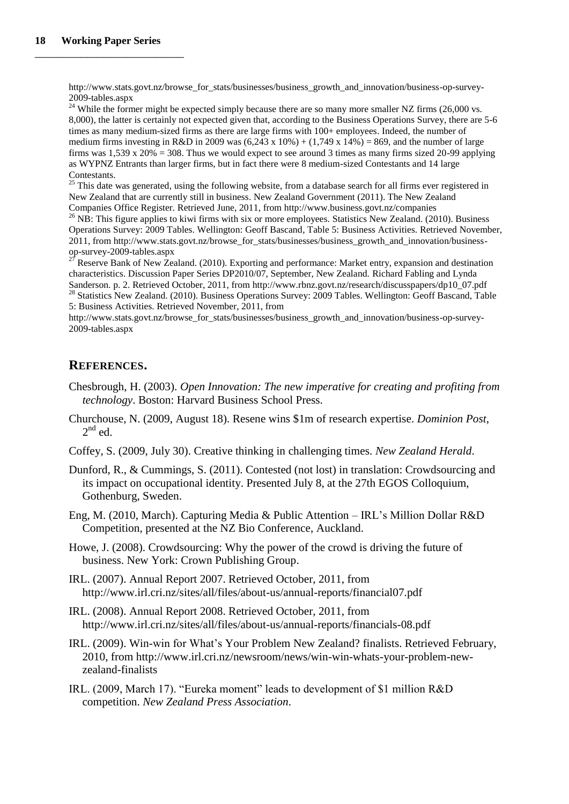http://www.stats.govt.nz/browse\_for\_stats/businesses/business\_growth\_and\_innovation/business-op-survey-2009-tables.aspx

 $24$  While the former might be expected simply because there are so many more smaller NZ firms (26,000 vs. 8,000), the latter is certainly not expected given that, according to the Business Operations Survey, there are 5-6 times as many medium-sized firms as there are large firms with 100+ employees. Indeed, the number of medium firms investing in R&D in 2009 was  $(6,243 \times 10\%) + (1,749 \times 14\%) = 869$ , and the number of large firms was  $1.539 \times 20\% = 308$ . Thus we would expect to see around 3 times as many firms sized 20-99 applying as WYPNZ Entrants than larger firms, but in fact there were 8 medium-sized Contestants and 14 large Contestants.

 $25$  This date was generated, using the following website, from a database search for all firms ever registered in New Zealand that are currently still in business. New Zealand Government (2011). The New Zealand Companies Office Register. Retrieved June, 2011, from http://www.business.govt.nz/companies

 $^{26}$  NB: This figure applies to kiwi firms with six or more employees. Statistics New Zealand. (2010). Business Operations Survey: 2009 Tables. Wellington: Geoff Bascand, Table 5: Business Activities. Retrieved November, 2011, from http://www.stats.govt.nz/browse\_for\_stats/businesses/business\_growth\_and\_innovation/businessop-survey-2009-tables.aspx

 $2^{27}$  Reserve Bank of New Zealand. (2010). Exporting and performance: Market entry, expansion and destination characteristics. Discussion Paper Series DP2010/07, September, New Zealand. Richard Fabling and Lynda Sanderson. p. 2. Retrieved October, 2011, from http://www.rbnz.govt.nz/research/discusspapers/dp10\_07.pdf <sup>28</sup> Statistics New Zealand. (2010). Business Operations Survey: 2009 Tables. Wellington: Geoff Bascand, Table 5: Business Activities. Retrieved November, 2011, from

http://www.stats.govt.nz/browse\_for\_stats/businesses/business\_growth\_and\_innovation/business-op-survey-2009-tables.aspx

# **REFERENCES.**

- Chesbrough, H. (2003). *Open Innovation: The new imperative for creating and profiting from technology*. Boston: Harvard Business School Press.
- Churchouse, N. (2009, August 18). Resene wins \$1m of research expertise. *Dominion Post*,  $2^{nd}$  ed.
- Coffey, S. (2009, July 30). Creative thinking in challenging times. *New Zealand Herald*.
- Dunford, R., & Cummings, S. (2011). Contested (not lost) in translation: Crowdsourcing and its impact on occupational identity. Presented July 8, at the 27th EGOS Colloquium, Gothenburg, Sweden.
- Eng, M. (2010, March). Capturing Media & Public Attention IRL's Million Dollar R&D Competition, presented at the NZ Bio Conference, Auckland.
- Howe, J. (2008). Crowdsourcing: Why the power of the crowd is driving the future of business. New York: Crown Publishing Group.
- IRL. (2007). Annual Report 2007. Retrieved October, 2011, from http://www.irl.cri.nz/sites/all/files/about-us/annual-reports/financial07.pdf
- IRL. (2008). Annual Report 2008. Retrieved October, 2011, from http://www.irl.cri.nz/sites/all/files/about-us/annual-reports/financials-08.pdf
- IRL. (2009). Win-win for What's Your Problem New Zealand? finalists. Retrieved February, 2010, from http://www.irl.cri.nz/newsroom/news/win-win-whats-your-problem-newzealand-finalists
- IRL. (2009, March 17). "Eureka moment" leads to development of \$1 million R&D competition. *New Zealand Press Association*.